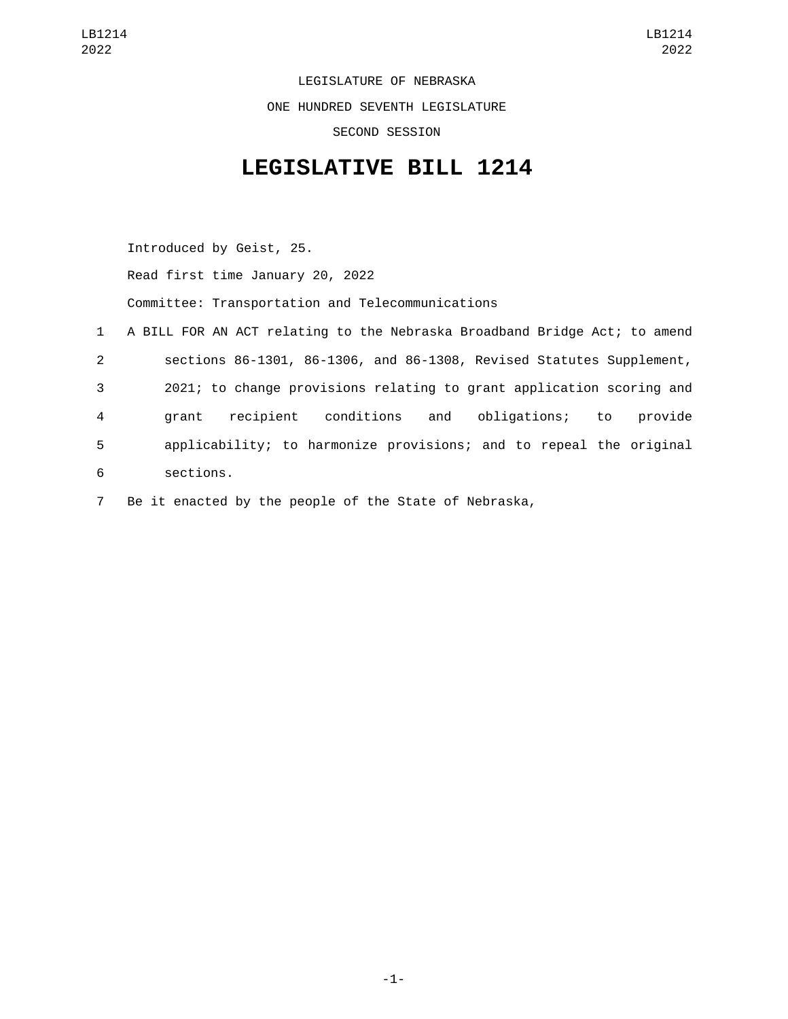LEGISLATURE OF NEBRASKA ONE HUNDRED SEVENTH LEGISLATURE SECOND SESSION

## **LEGISLATIVE BILL 1214**

Introduced by Geist, 25. Read first time January 20, 2022 Committee: Transportation and Telecommunications 1 A BILL FOR AN ACT relating to the Nebraska Broadband Bridge Act; to amend 2 sections 86-1301, 86-1306, and 86-1308, Revised Statutes Supplement, 3 2021; to change provisions relating to grant application scoring and 4 grant recipient conditions and obligations; to provide 5 applicability; to harmonize provisions; and to repeal the original sections.6

7 Be it enacted by the people of the State of Nebraska,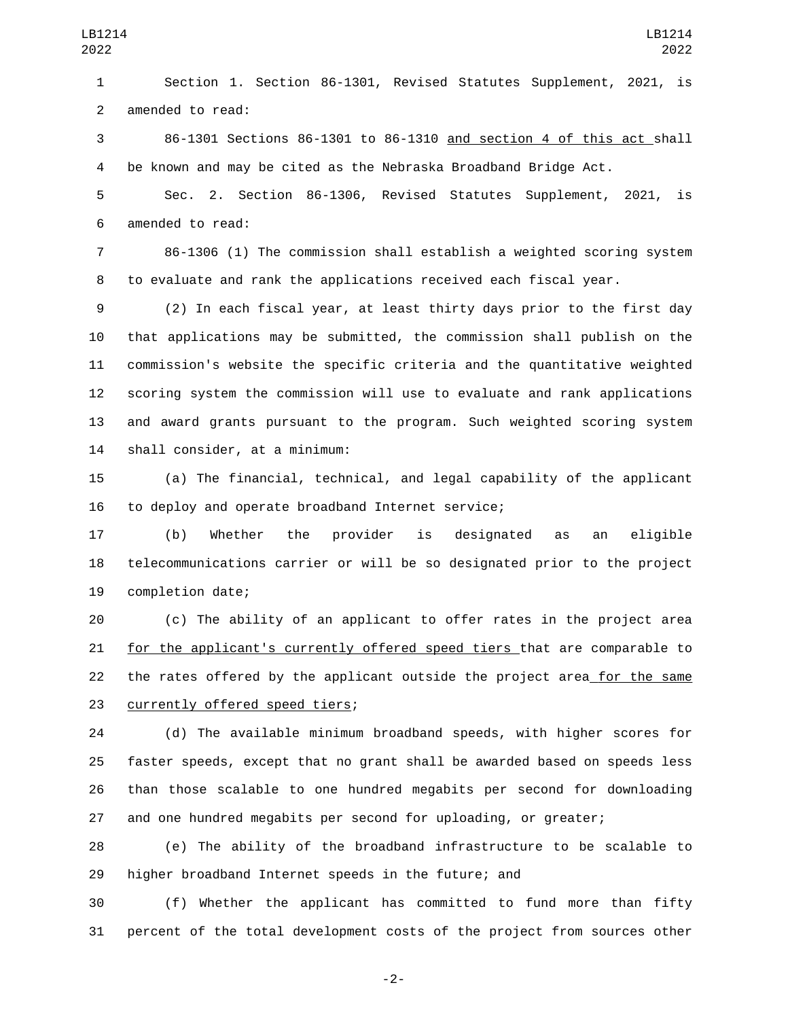Section 1. Section 86-1301, Revised Statutes Supplement, 2021, is 2 amended to read:

 86-1301 Sections 86-1301 to 86-1310 and section 4 of this act shall be known and may be cited as the Nebraska Broadband Bridge Act.

 Sec. 2. Section 86-1306, Revised Statutes Supplement, 2021, is 6 amended to read:

 86-1306 (1) The commission shall establish a weighted scoring system to evaluate and rank the applications received each fiscal year.

 (2) In each fiscal year, at least thirty days prior to the first day that applications may be submitted, the commission shall publish on the commission's website the specific criteria and the quantitative weighted scoring system the commission will use to evaluate and rank applications and award grants pursuant to the program. Such weighted scoring system 14 shall consider, at a minimum:

 (a) The financial, technical, and legal capability of the applicant 16 to deploy and operate broadband Internet service;

 (b) Whether the provider is designated as an eligible telecommunications carrier or will be so designated prior to the project 19 completion date;

 (c) The ability of an applicant to offer rates in the project area for the applicant's currently offered speed tiers that are comparable to 22 the rates offered by the applicant outside the project area for the same 23 currently offered speed tiers;

 (d) The available minimum broadband speeds, with higher scores for faster speeds, except that no grant shall be awarded based on speeds less than those scalable to one hundred megabits per second for downloading and one hundred megabits per second for uploading, or greater;

 (e) The ability of the broadband infrastructure to be scalable to higher broadband Internet speeds in the future; and

 (f) Whether the applicant has committed to fund more than fifty percent of the total development costs of the project from sources other

-2-